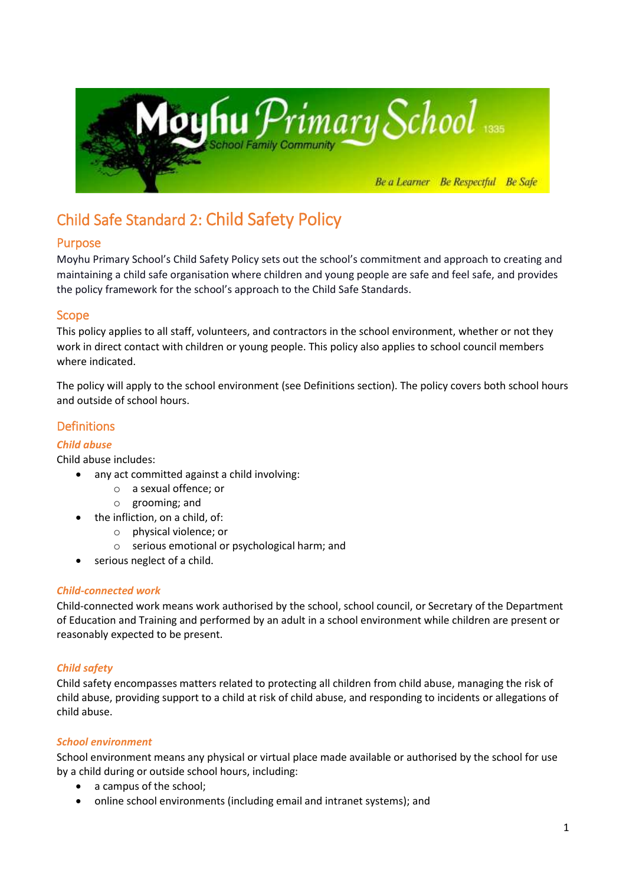

# Child Safe Standard 2: Child Safety Policy

# Purpose

Moyhu Primary School's Child Safety Policy sets out the school's commitment and approach to creating and maintaining a child safe organisation where children and young people are safe and feel safe, and provides the policy framework for the school's approach to the Child Safe Standards.

# Scope

This policy applies to all staff, volunteers, and contractors in the school environment, whether or not they work in direct contact with children or young people. This policy also applies to school council members where indicated.

The policy will apply to the school environment (see Definitions section). The policy covers both school hours and outside of school hours.

# **Definitions**

#### *Child abuse*

Child abuse includes:

- any act committed against a child involving:
	- o a sexual offence; or
	- o grooming; and
- the infliction, on a child, of:
	- o physical violence; or
	- o serious emotional or psychological harm; and
- serious neglect of a child.

#### *Child-connected work*

Child-connected work means work authorised by the school, school council, or Secretary of the Department of Education and Training and performed by an adult in a school environment while children are present or reasonably expected to be present.

#### *Child safety*

Child safety encompasses matters related to protecting all children from child abuse, managing the risk of child abuse, providing support to a child at risk of child abuse, and responding to incidents or allegations of child abuse.

#### *School environment*

School environment means any physical or virtual place made available or authorised by the school for use by a child during or outside school hours, including:

- a campus of the school;
- online school environments (including email and intranet systems); and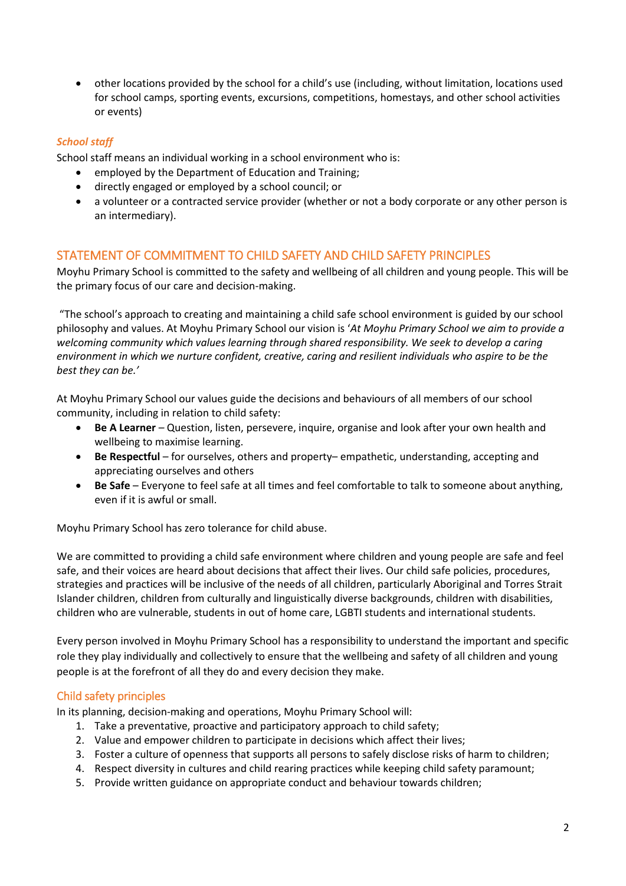other locations provided by the school for a child's use (including, without limitation, locations used for school camps, sporting events, excursions, competitions, homestays, and other school activities or events)

## *School staff*

School staff means an individual working in a school environment who is:

- employed by the Department of Education and Training;
- directly engaged or employed by a school council; or
- a volunteer or a contracted service provider (whether or not a body corporate or any other person is an intermediary).

#### STATEMENT OF COMMITMENT TO CHILD SAFETY AND CHILD SAFETY PRINCIPLES

Moyhu Primary School is committed to the safety and wellbeing of all children and young people. This will be the primary focus of our care and decision-making.

"The school's approach to creating and maintaining a child safe school environment is guided by our school philosophy and values. At Moyhu Primary School our vision is '*At Moyhu Primary School we aim to provide a welcoming community which values learning through shared responsibility. We seek to develop a caring environment in which we nurture confident, creative, caring and resilient individuals who aspire to be the best they can be.'* 

At Moyhu Primary School our values guide the decisions and behaviours of all members of our school community, including in relation to child safety:

- **Be A Learner** Question, listen, persevere, inquire, organise and look after your own health and wellbeing to maximise learning.
- **Be Respectful** for ourselves, others and property– empathetic, understanding, accepting and appreciating ourselves and others
- **Be Safe** Everyone to feel safe at all times and feel comfortable to talk to someone about anything, even if it is awful or small.

Moyhu Primary School has zero tolerance for child abuse.

We are committed to providing a child safe environment where children and young people are safe and feel safe, and their voices are heard about decisions that affect their lives. Our child safe policies, procedures, strategies and practices will be inclusive of the needs of all children, particularly Aboriginal and Torres Strait Islander children, children from culturally and linguistically diverse backgrounds, children with disabilities, children who are vulnerable, students in out of home care, LGBTI students and international students.

Every person involved in Moyhu Primary School has a responsibility to understand the important and specific role they play individually and collectively to ensure that the wellbeing and safety of all children and young people is at the forefront of all they do and every decision they make.

#### Child safety principles

In its planning, decision-making and operations, Moyhu Primary School will:

- 1. Take a preventative, proactive and participatory approach to child safety;
- 2. Value and empower children to participate in decisions which affect their lives;
- 3. Foster a culture of openness that supports all persons to safely disclose risks of harm to children;
- 4. Respect diversity in cultures and child rearing practices while keeping child safety paramount;
- 5. Provide written guidance on appropriate conduct and behaviour towards children;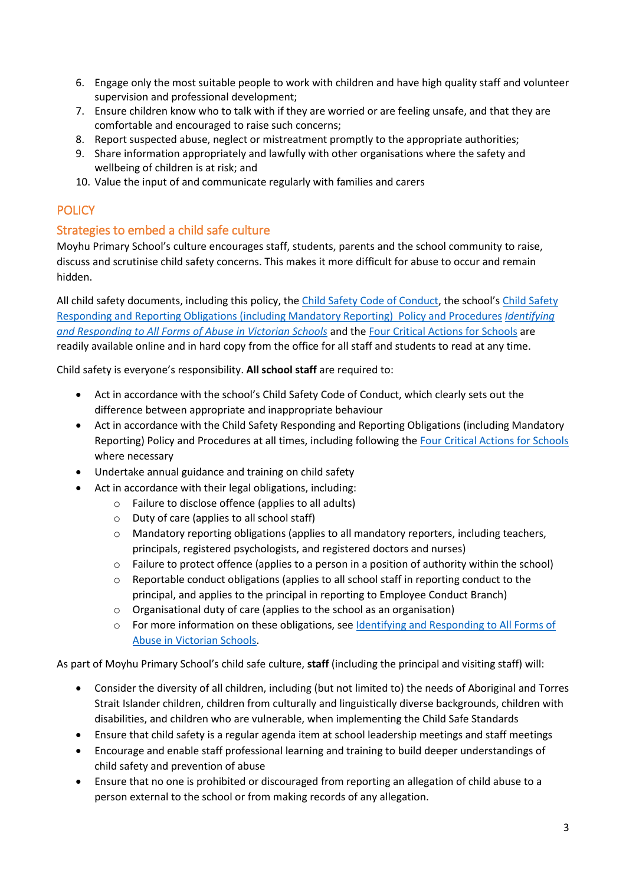- 6. Engage only the most suitable people to work with children and have high quality staff and volunteer supervision and professional development;
- 7. Ensure children know who to talk with if they are worried or are feeling unsafe, and that they are comfortable and encouraged to raise such concerns;
- 8. Report suspected abuse, neglect or mistreatment promptly to the appropriate authorities;
- 9. Share information appropriately and lawfully with other organisations where the safety and wellbeing of children is at risk; and
- 10. Value the input of and communicate regularly with families and carers

# **POLICY**

# Strategies to embed a child safe culture

Moyhu Primary School's culture encourages staff, students, parents and the school community to raise, discuss and scrutinise child safety concerns. This makes it more difficult for abuse to occur and remain hidden.

All child safety documents, including this policy, the [Child Safety Code of Conduct,](http://moyhups.vic.edu.au/child-safe-school-policies/) the school's [Child Safety](http://moyhups.vic.edu.au/child-safe-school-policies/) Responding and Reporting Obligations [\(including Mandatory Reporting\) Policy and Procedures](http://moyhups.vic.edu.au/child-safe-school-policies/) *[Identifying](https://www.education.vic.gov.au/Documents/about/programs/health/protect/ChildSafeStandard5_SchoolsGuide.pdf)  [and Responding to All Forms of Abuse in Victorian Schools](https://www.education.vic.gov.au/Documents/about/programs/health/protect/ChildSafeStandard5_SchoolsGuide.pdf)* and th[e Four Critical Actions for Schools](https://www.education.vic.gov.au/Documents/about/programs/health/protect/FourCriticalActions_ChildAbuse.pdf) are readily available online and in hard copy from the office for all staff and students to read at any time.

Child safety is everyone's responsibility. **All school staff** are required to:

- Act in accordance with the school's Child Safety Code of Conduct, which clearly sets out the difference between appropriate and inappropriate behaviour
- Act in accordance with the Child Safety Responding and Reporting Obligations (including Mandatory Reporting) Policy and Procedures at all times, including following th[e Four Critical Actions for Schools](https://www.education.vic.gov.au/Documents/about/programs/health/protect/FourCriticalActions_ChildAbuse.pdf) where necessary
- Undertake annual guidance and training on child safety
- Act in accordance with their legal obligations, including:
	- o Failure to disclose offence (applies to all adults)
	- o Duty of care (applies to all school staff)
	- o Mandatory reporting obligations (applies to all mandatory reporters, including teachers, principals, registered psychologists, and registered doctors and nurses)
	- o Failure to protect offence (applies to a person in a position of authority within the school)
	- o Reportable conduct obligations (applies to all school staff in reporting conduct to the principal, and applies to the principal in reporting to Employee Conduct Branch)
	- o Organisational duty of care (applies to the school as an organisation)
	- o For more information on these obligations, see [Identifying and Responding to All Forms of](https://www.education.vic.gov.au/Documents/about/programs/health/protect/ChildSafeStandard5_SchoolsGuide.pdf)  [Abuse in Victorian Schools.](https://www.education.vic.gov.au/Documents/about/programs/health/protect/ChildSafeStandard5_SchoolsGuide.pdf)

As part of Moyhu Primary School's child safe culture, **staff** (including the principal and visiting staff) will:

- Consider the diversity of all children, including (but not limited to) the needs of Aboriginal and Torres Strait Islander children, children from culturally and linguistically diverse backgrounds, children with disabilities, and children who are vulnerable, when implementing the Child Safe Standards
- Ensure that child safety is a regular agenda item at school leadership meetings and staff meetings
- Encourage and enable staff professional learning and training to build deeper understandings of child safety and prevention of abuse
- Ensure that no one is prohibited or discouraged from reporting an allegation of child abuse to a person external to the school or from making records of any allegation.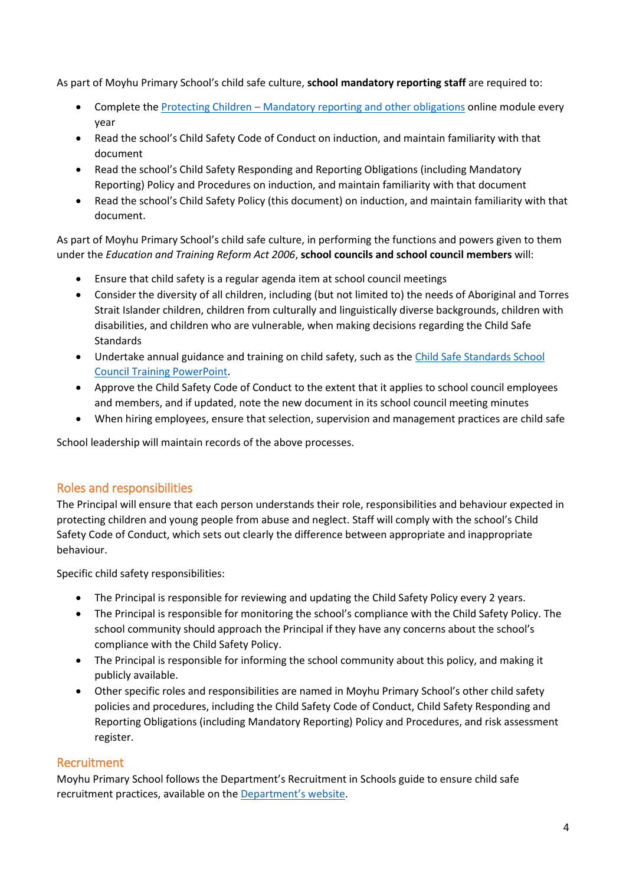As part of Moyhu Primary School's child safe culture, **school mandatory reporting staff** are required to:

- Complete the Protecting Children [Mandatory reporting and other obligations](http://elearn.com.au/det/protectingchildren/) online module every year
- Read the school's Child Safety Code of Conduct on induction, and maintain familiarity with that document
- Read the school's Child Safety Responding and Reporting Obligations (including Mandatory Reporting) Policy and Procedures on induction, and maintain familiarity with that document
- Read the school's Child Safety Policy (this document) on induction, and maintain familiarity with that document.

As part of Moyhu Primary School's child safe culture, in performing the functions and powers given to them under the *Education and Training Reform Act 2006*, **school councils and school council members** will:

- Ensure that child safety is a regular agenda item at school council meetings
- Consider the diversity of all children, including (but not limited to) the needs of Aboriginal and Torres Strait Islander children, children from culturally and linguistically diverse backgrounds, children with disabilities, and children who are vulnerable, when making decisions regarding the Child Safe Standards
- Undertake annual guidance and training on child safety, such as th[e Child Safe Standards School](https://www.education.vic.gov.au/Documents/about/programs/health/protect/school-council-training.pptx)  [Council Training](https://www.education.vic.gov.au/Documents/about/programs/health/protect/school-council-training.pptx) PowerPoint.
- Approve the Child Safety Code of Conduct to the extent that it applies to school council employees and members, and if updated, note the new document in its school council meeting minutes
- When hiring employees, ensure that selection, supervision and management practices are child safe

School leadership will maintain records of the above processes.

#### Roles and responsibilities

The Principal will ensure that each person understands their role, responsibilities and behaviour expected in protecting children and young people from abuse and neglect. Staff will comply with the school's Child Safety Code of Conduct, which sets out clearly the difference between appropriate and inappropriate behaviour.

Specific child safety responsibilities:

- The Principal is responsible for reviewing and updating the Child Safety Policy every 2 years.
- The Principal is responsible for monitoring the school's compliance with the Child Safety Policy. The school community should approach the Principal if they have any concerns about the school's compliance with the Child Safety Policy.
- The Principal is responsible for informing the school community about this policy, and making it publicly available.
- Other specific roles and responsibilities are named in Moyhu Primary School's other child safety policies and procedures, including the Child Safety Code of Conduct, Child Safety Responding and Reporting Obligations (including Mandatory Reporting) Policy and Procedures, and risk assessment register.

#### Recruitment

Moyhu Primary School follows the Department's Recruitment in Schools guide to ensure child safe recruitment practices, available on the [Department'](https://www.education.vic.gov.au/hrweb/careers/Pages/recruitinsch.aspx)s website.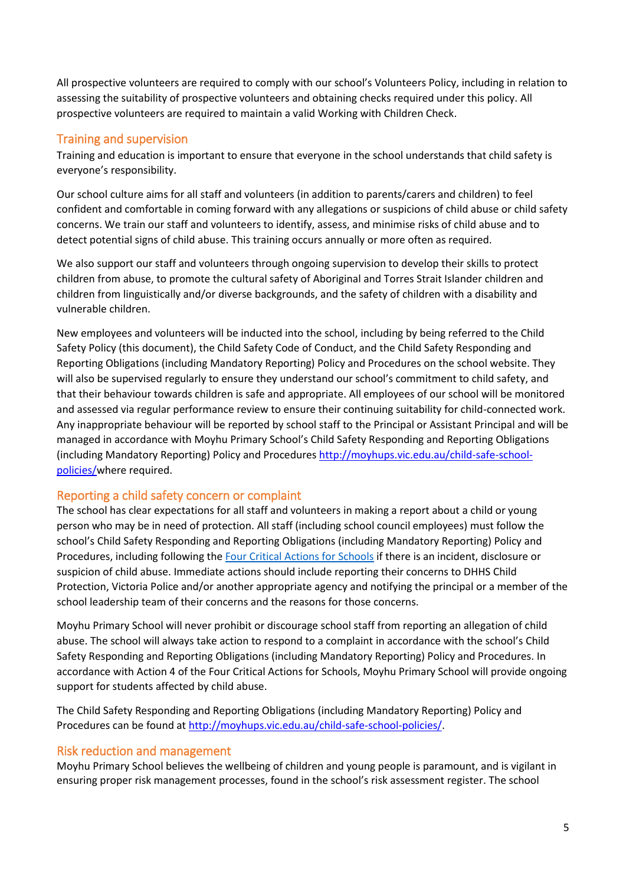All prospective volunteers are required to comply with our school's Volunteers Policy, including in relation to assessing the suitability of prospective volunteers and obtaining checks required under this policy. All prospective volunteers are required to maintain a valid Working with Children Check.

## Training and supervision

Training and education is important to ensure that everyone in the school understands that child safety is everyone's responsibility.

Our school culture aims for all staff and volunteers (in addition to parents/carers and children) to feel confident and comfortable in coming forward with any allegations or suspicions of child abuse or child safety concerns. We train our staff and volunteers to identify, assess, and minimise risks of child abuse and to detect potential signs of child abuse. This training occurs annually or more often as required.

We also support our staff and volunteers through ongoing supervision to develop their skills to protect children from abuse, to promote the cultural safety of Aboriginal and Torres Strait Islander children and children from linguistically and/or diverse backgrounds, and the safety of children with a disability and vulnerable children.

New employees and volunteers will be inducted into the school, including by being referred to the Child Safety Policy (this document), the Child Safety Code of Conduct, and the Child Safety Responding and Reporting Obligations (including Mandatory Reporting) Policy and Procedures on the school website. They will also be supervised regularly to ensure they understand our school's commitment to child safety, and that their behaviour towards children is safe and appropriate. All employees of our school will be monitored and assessed via regular performance review to ensure their continuing suitability for child-connected work. Any inappropriate behaviour will be reported by school staff to the Principal or Assistant Principal and will be managed in accordance with Moyhu Primary School's Child Safety Responding and Reporting Obligations (including Mandatory Reporting) Policy and Procedures [http://moyhups.vic.edu.au/child-safe-school](http://moyhups.vic.edu.au/child-safe-school-policies/)[policies/w](http://moyhups.vic.edu.au/child-safe-school-policies/)here required.

#### Reporting a child safety concern or complaint

The school has clear expectations for all staff and volunteers in making a report about a child or young person who may be in need of protection. All staff (including school council employees) must follow the school's Child Safety Responding and Reporting Obligations (including Mandatory Reporting) Policy and Procedures, including following the [Four Critical Actions for Schools](https://www.education.vic.gov.au/Documents/about/programs/health/protect/FourCriticalActions_ChildAbuse.pdf) if there is an incident, disclosure or suspicion of child abuse. Immediate actions should include reporting their concerns to DHHS Child Protection, Victoria Police and/or another appropriate agency and notifying the principal or a member of the school leadership team of their concerns and the reasons for those concerns.

Moyhu Primary School will never prohibit or discourage school staff from reporting an allegation of child abuse. The school will always take action to respond to a complaint in accordance with the school's Child Safety Responding and Reporting Obligations (including Mandatory Reporting) Policy and Procedures. In accordance with Action 4 of the Four Critical Actions for Schools, Moyhu Primary School will provide ongoing support for students affected by child abuse.

The Child Safety Responding and Reporting Obligations (including Mandatory Reporting) Policy and Procedures can be found at [http://moyhups.vic.edu.au/child-safe-school-policies/.](http://moyhups.vic.edu.au/child-safe-school-policies/)

#### Risk reduction and management

Moyhu Primary School believes the wellbeing of children and young people is paramount, and is vigilant in ensuring proper risk management processes, found in the school's risk assessment register. The school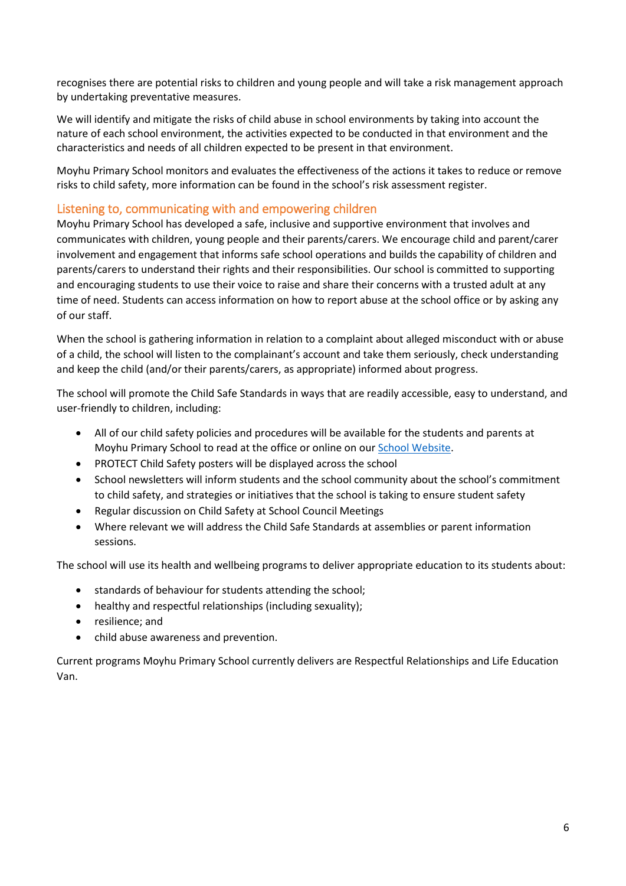recognises there are potential risks to children and young people and will take a risk management approach by undertaking preventative measures.

We will identify and mitigate the risks of child abuse in school environments by taking into account the nature of each school environment, the activities expected to be conducted in that environment and the characteristics and needs of all children expected to be present in that environment.

Moyhu Primary School monitors and evaluates the effectiveness of the actions it takes to reduce or remove risks to child safety, more information can be found in the school's risk assessment register.

#### Listening to, communicating with and empowering children

Moyhu Primary School has developed a safe, inclusive and supportive environment that involves and communicates with children, young people and their parents/carers. We encourage child and parent/carer involvement and engagement that informs safe school operations and builds the capability of children and parents/carers to understand their rights and their responsibilities. Our school is committed to supporting and encouraging students to use their voice to raise and share their concerns with a trusted adult at any time of need. Students can access information on how to report abuse at the school office or by asking any of our staff.

When the school is gathering information in relation to a complaint about alleged misconduct with or abuse of a child, the school will listen to the complainant's account and take them seriously, check understanding and keep the child (and/or their parents/carers, as appropriate) informed about progress.

The school will promote the Child Safe Standards in ways that are readily accessible, easy to understand, and user-friendly to children, including:

- All of our child safety policies and procedures will be available for the students and parents at Moyhu Primary School to read at the office or online on ou[r School Website.](http://moyhups.vic.edu.au/child-safe-school-policies/)
- PROTECT Child Safety posters will be displayed across the school
- School newsletters will inform students and the school community about the school's commitment to child safety, and strategies or initiatives that the school is taking to ensure student safety
- Regular discussion on Child Safety at School Council Meetings
- Where relevant we will address the Child Safe Standards at assemblies or parent information sessions.

The school will use its health and wellbeing programs to deliver appropriate education to its students about:

- standards of behaviour for students attending the school;
- healthy and respectful relationships (including sexuality);
- resilience; and
- child abuse awareness and prevention.

Current programs Moyhu Primary School currently delivers are Respectful Relationships and Life Education Van.